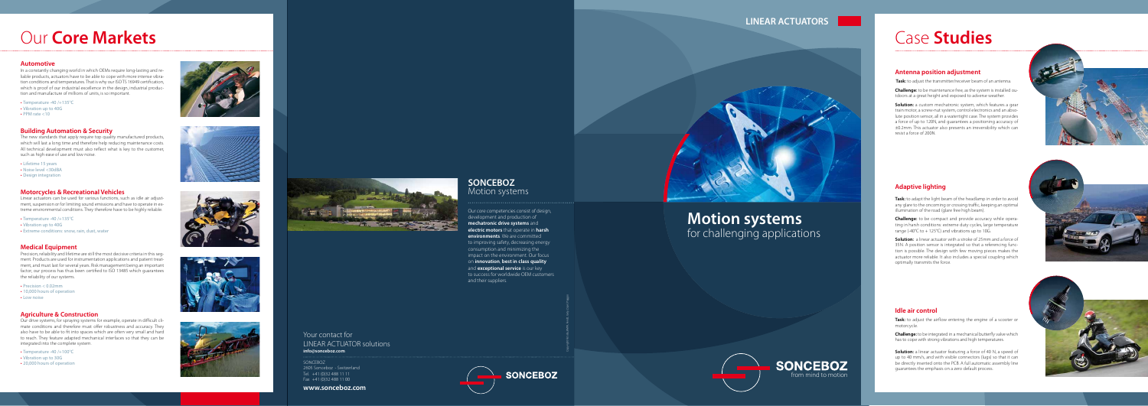## **LINEAR ACTUATORS**

## **Motion systems** for challenging applications





### **SONCEBOZ** Motion systems

Our core competencies consist of design, development and production of **mechatronic drive systems** and **electric motors** that operate in **harsh environments**. We are committed to improving safety, decreasing energy consumption and minimizing the impact on the environment. Our focus on **innovation**, **best in class quality**  and **exceptional service** is our key to success for worldwide OEM customers and their suppliers.

#### Your contact for LINEAR ACTUATOR solutions **info@sonceboz.com**

SONCEBOZ 2605 Sonceboz - Switzerland  $\sqrt{10}$  Tel.  $\sqrt{+41}$  (0)32 488 11 11 Fax +41 (0)32 488 11 00

#### **www.sonceboz.com**





#### **Antenna position adjustment**

**Challenge:** to be compact and provide accuracy while opera ting in harsh conditions: extreme duty cycles, large temperature range (-40 $^{\circ}$ C to + 125 $^{\circ}$ C) and vibrations up to 10G.

 **Task:** to adjust the transmitter/receiver beam of an antenna.

**Challenge:** to be maintenance free, as the system is installed ou tdoors at a great height and exposed to adverse weather.

**Solution:** a custom mechatronic system, which features a gear train motor, a screw-nut system, control electronics and an abso lute position sensor, all in a watertight case. The system provides a force of up to 120N, and guarantees a positioning accuracy of ±0.2mm. This actuator also presents an irreversibility which can resist a force of 200N.



**Solution:** a linear actuator featuring a force of 40 N, a speed of up to 40 mm/s, and with visible connectors (lugs) so that it can be directly inserted onto the PCB. A full automatic assembly line guarantees the emphasis on a zero default process.



#### **Adaptive lighting**

**Task:** to adapt the light beam of the headlamp in order to avoid any glare to the oncoming or crossing traffic, keeping an optimal illumination of the road (glare free high beam).

**Solution:** a linear actuator with a stroke of 25mm and a force of 35N. A position sensor is integrated so that a referencing func tion is possible. The design with few moving pieces makes the actuator more reliable. It also includes a special coupling which optimally transmits the force.



#### **Idle air control**

**Task:** to adjust the airflow entering the engine of a scooter or motorcycle.

**Challenge:** to be integrated in a mechanical butterfly valve which has to cope with strong vibrations and high temperatures.

# Case **Studies**

#### **Automotive**

In a constantly changing world in which OEMs require long-lasting and re liable products, actuators have to be able to cope with more intense vibra tion conditions and temperatures. That is why our ISO TS 16949 certification, which is proof of our industrial excellence in the design, industrial produc tion and manufacture of millions of units, is so important.

- Temperature -40 /+135°C
- • Vibration up to 40G
- $\bullet$  PPM rate  $<$ 10

#### **Building Automation & Security**

The new standards that apply require top quality manufactured products, which will last a long time and therefore help reducing maintenance costs. All technical development must also reflect what is key to the customer, such as high ease of use and low noise.

- Lifetime 15 years
- Noise level <30dBA
- Design integration

#### **Motorcycles & Recreational Vehicles**

Linear actuators can be used for various functions, such as idle air adjust ment, suspension or for limiting sound emissions and have to operate in ex treme environmental conditions. They therefore have to be highly reliable.

- Temperature -40 /+135°C
- • Vibration up to 40G
- Extreme conditions: snow, rain, dust, water

#### **Medical Equipment**

Precision, reliability and lifetime are still the most decisive criteria in this seg ment. Products are used for instrumentation applications and patient treat ment, and must last for several years. Risk management being an important factor, our process has thus been certified to ISO 13485 which guarantees the reliability of our systems.

- Precision < 0.02mm
- 10,000 hours of operation
- Low noise

#### **Agriculture & Construction**

Our drive systems, for spraying systems for example, operate in difficult cli mate conditions and therefore must offer robustness and accuracy. They also have to be able to fit into spaces which are often very small and hard to reach. They feature adapted mechanical interfaces so that they can be integrated into the complete system.

- Temperature -40 /+100°C
- • Vibration up to 30G
- 20,000 hours of operation







# Our **Core Markets**



Copyright Fotolia, BMW, Fendt, Gety, Opel, Piaggio